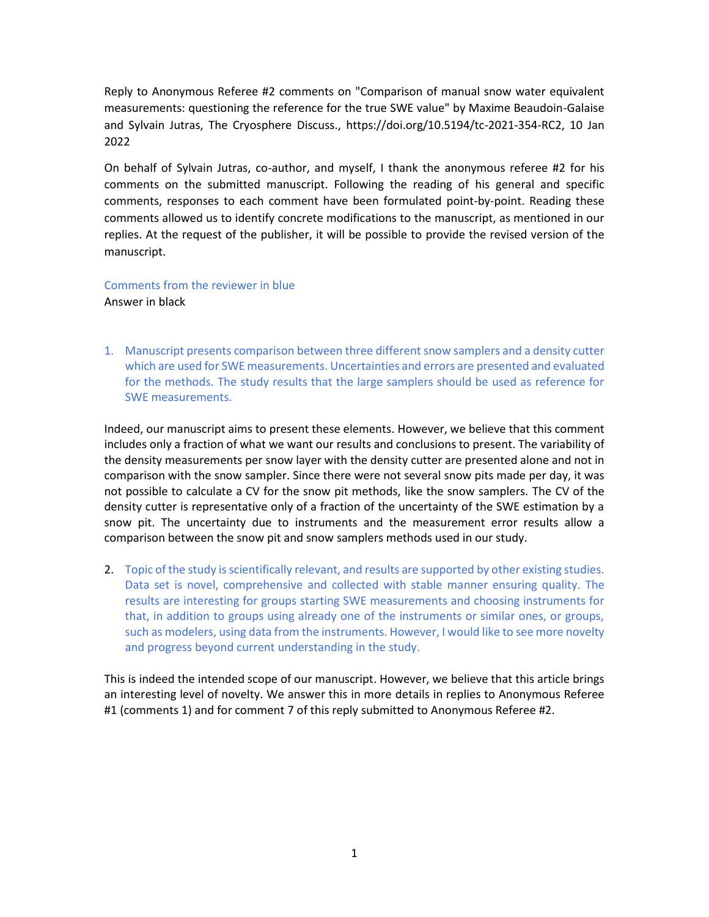Reply to Anonymous Referee #2 comments on "Comparison of manual snow water equivalent measurements: questioning the reference for the true SWE value" by Maxime Beaudoin-Galaise and Sylvain Jutras, The Cryosphere Discuss., https://doi.org/10.5194/tc-2021-354-RC2, 10 Jan 2022

On behalf of Sylvain Jutras, co-author, and myself, I thank the anonymous referee #2 for his comments on the submitted manuscript. Following the reading of his general and specific comments, responses to each comment have been formulated point-by-point. Reading these comments allowed us to identify concrete modifications to the manuscript, as mentioned in our replies. At the request of the publisher, it will be possible to provide the revised version of the manuscript.

# Comments from the reviewer in blue

Answer in black

1. Manuscript presents comparison between three different snow samplers and a density cutter which are used for SWE measurements. Uncertainties and errors are presented and evaluated for the methods. The study results that the large samplers should be used as reference for SWE measurements.

Indeed, our manuscript aims to present these elements. However, we believe that this comment includes only a fraction of what we want our results and conclusions to present. The variability of the density measurements per snow layer with the density cutter are presented alone and not in comparison with the snow sampler. Since there were not several snow pits made per day, it was not possible to calculate a CV for the snow pit methods, like the snow samplers. The CV of the density cutter is representative only of a fraction of the uncertainty of the SWE estimation by a snow pit. The uncertainty due to instruments and the measurement error results allow a comparison between the snow pit and snow samplers methods used in our study.

2. Topic of the study is scientifically relevant, and results are supported by other existing studies. Data set is novel, comprehensive and collected with stable manner ensuring quality. The results are interesting for groups starting SWE measurements and choosing instruments for that, in addition to groups using already one of the instruments or similar ones, or groups, such as modelers, using data from the instruments. However, I would like to see more novelty and progress beyond current understanding in the study.

This is indeed the intended scope of our manuscript. However, we believe that this article brings an interesting level of novelty. We answer this in more details in replies to Anonymous Referee #1 (comments 1) and for comment 7 of this reply submitted to Anonymous Referee #2.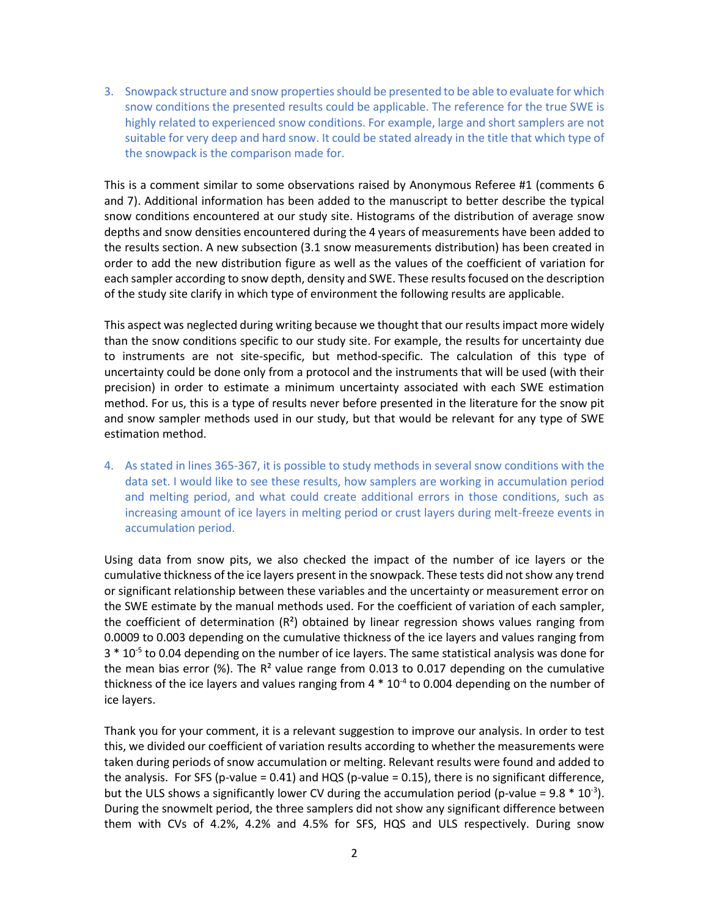3. Snowpack structure and snow properties should be presented to be able to evaluate for which snow conditions the presented results could be applicable. The reference for the true SWE is highly related to experienced snow conditions. For example, large and short samplers are not suitable for very deep and hard snow. It could be stated already in the title that which type of the snowpack is the comparison made for.

This is a comment similar to some observations raised by Anonymous Referee #1 (comments 6 and 7). Additional information has been added to the manuscript to better describe the typical snow conditions encountered at our study site. Histograms of the distribution of average snow depths and snow densities encountered during the 4 years of measurements have been added to the results section. A new subsection (3.1 snow measurements distribution) has been created in order to add the new distribution figure as well as the values of the coefficient of variation for each sampler according to snow depth, density and SWE. These results focused on the description of the study site clarify in which type of environment the following results are applicable.

This aspect was neglected during writing because we thought that our results impact more widely than the snow conditions specific to our study site. For example, the results for uncertainty due to instruments are not site-specific, but method-specific. The calculation of this type of uncertainty could be done only from a protocol and the instruments that will be used (with their precision) in order to estimate a minimum uncertainty associated with each SWE estimation method. For us, this is a type of results never before presented in the literature for the snow pit and snow sampler methods used in our study, but that would be relevant for any type of SWE estimation method.

4. As stated in lines 365-367, it is possible to study methods in several snow conditions with the data set. I would like to see these results, how samplers are working in accumulation period and melting period, and what could create additional errors in those conditions, such as increasing amount of ice layers in melting period or crust layers during melt-freeze events in accumulation period.

Using data from snow pits, we also checked the impact of the number of ice layers or the cumulative thickness of the ice layers present in the snowpack. These tests did not show any trend or significant relationship between these variables and the uncertainty or measurement error on the SWE estimate by the manual methods used. For the coefficient of variation of each sampler, the coefficient of determination  $(R^2)$  obtained by linear regression shows values ranging from 0.0009 to 0.003 depending on the cumulative thickness of the ice layers and values ranging from 3 \* 10<sup>-5</sup> to 0.04 depending on the number of ice layers. The same statistical analysis was done for the mean bias error (%). The  $R<sup>2</sup>$  value range from 0.013 to 0.017 depending on the cumulative thickness of the ice layers and values ranging from 4  $*$  10<sup>-4</sup> to 0.004 depending on the number of ice layers.

Thank you for your comment, it is a relevant suggestion to improve our analysis. In order to test this, we divided our coefficient of variation results according to whether the measurements were taken during periods of snow accumulation or melting. Relevant results were found and added to the analysis. For SFS (p-value =  $0.41$ ) and HQS (p-value =  $0.15$ ), there is no significant difference, but the ULS shows a significantly lower CV during the accumulation period (p-value =  $9.8 * 10^{-3}$ ). During the snowmelt period, the three samplers did not show any significant difference between them with CVs of 4.2%, 4.2% and 4.5% for SFS, HQS and ULS respectively. During snow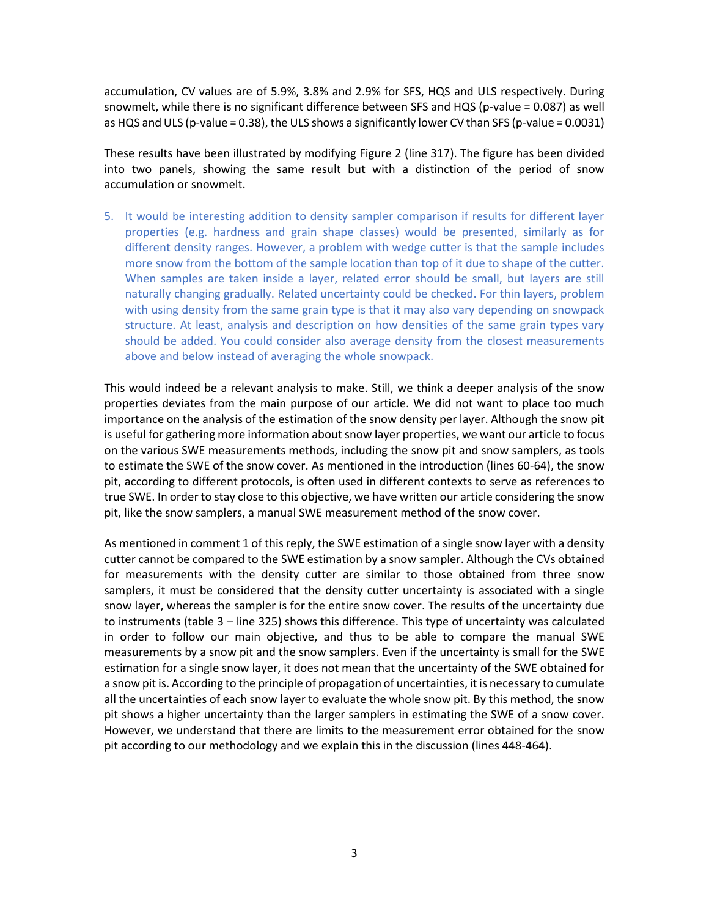accumulation, CV values are of 5.9%, 3.8% and 2.9% for SFS, HQS and ULS respectively. During snowmelt, while there is no significant difference between SFS and HQS (p-value = 0.087) as well as HQS and ULS (p-value = 0.38), the ULS shows a significantly lower CV than SFS (p-value = 0.0031)

These results have been illustrated by modifying Figure 2 (line 317). The figure has been divided into two panels, showing the same result but with a distinction of the period of snow accumulation or snowmelt.

5. It would be interesting addition to density sampler comparison if results for different layer properties (e.g. hardness and grain shape classes) would be presented, similarly as for different density ranges. However, a problem with wedge cutter is that the sample includes more snow from the bottom of the sample location than top of it due to shape of the cutter. When samples are taken inside a layer, related error should be small, but layers are still naturally changing gradually. Related uncertainty could be checked. For thin layers, problem with using density from the same grain type is that it may also vary depending on snowpack structure. At least, analysis and description on how densities of the same grain types vary should be added. You could consider also average density from the closest measurements above and below instead of averaging the whole snowpack.

This would indeed be a relevant analysis to make. Still, we think a deeper analysis of the snow properties deviates from the main purpose of our article. We did not want to place too much importance on the analysis of the estimation of the snow density per layer. Although the snow pit is useful for gathering more information about snow layer properties, we want our article to focus on the various SWE measurements methods, including the snow pit and snow samplers, as tools to estimate the SWE of the snow cover. As mentioned in the introduction (lines 60-64), the snow pit, according to different protocols, is often used in different contexts to serve as references to true SWE. In order to stay close to this objective, we have written our article considering the snow pit, like the snow samplers, a manual SWE measurement method of the snow cover.

As mentioned in comment 1 of this reply, the SWE estimation of a single snow layer with a density cutter cannot be compared to the SWE estimation by a snow sampler. Although the CVs obtained for measurements with the density cutter are similar to those obtained from three snow samplers, it must be considered that the density cutter uncertainty is associated with a single snow layer, whereas the sampler is for the entire snow cover. The results of the uncertainty due to instruments (table 3 – line 325) shows this difference. This type of uncertainty was calculated in order to follow our main objective, and thus to be able to compare the manual SWE measurements by a snow pit and the snow samplers. Even if the uncertainty is small for the SWE estimation for a single snow layer, it does not mean that the uncertainty of the SWE obtained for a snow pit is. According to the principle of propagation of uncertainties, it is necessary to cumulate all the uncertainties of each snow layer to evaluate the whole snow pit. By this method, the snow pit shows a higher uncertainty than the larger samplers in estimating the SWE of a snow cover. However, we understand that there are limits to the measurement error obtained for the snow pit according to our methodology and we explain this in the discussion (lines 448-464).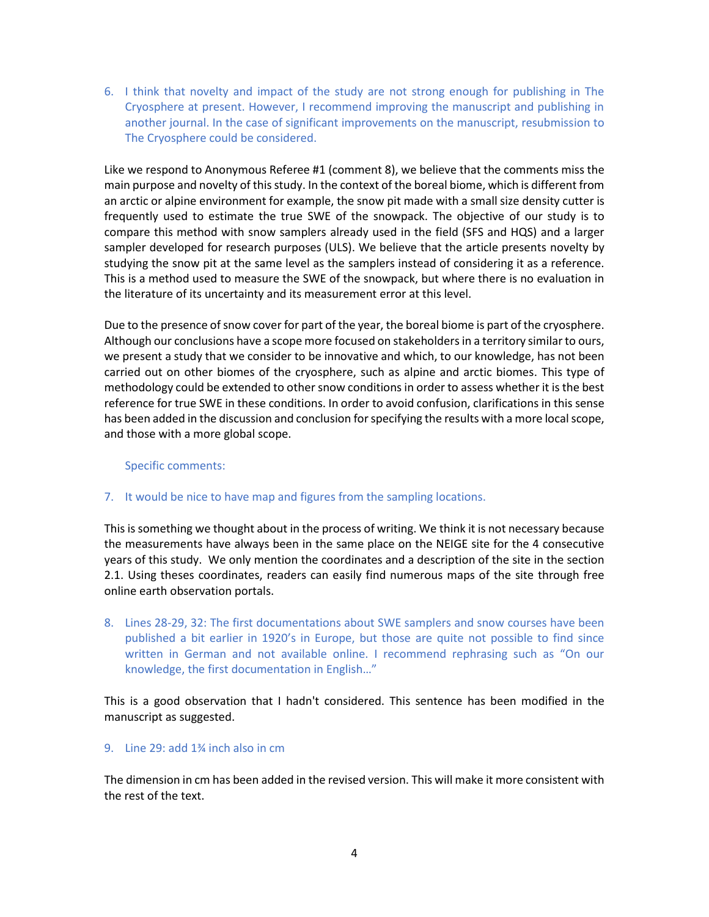6. I think that novelty and impact of the study are not strong enough for publishing in The Cryosphere at present. However, I recommend improving the manuscript and publishing in another journal. In the case of significant improvements on the manuscript, resubmission to The Cryosphere could be considered.

Like we respond to Anonymous Referee #1 (comment 8), we believe that the comments miss the main purpose and novelty of this study. In the context of the boreal biome, which is different from an arctic or alpine environment for example, the snow pit made with a small size density cutter is frequently used to estimate the true SWE of the snowpack. The objective of our study is to compare this method with snow samplers already used in the field (SFS and HQS) and a larger sampler developed for research purposes (ULS). We believe that the article presents novelty by studying the snow pit at the same level as the samplers instead of considering it as a reference. This is a method used to measure the SWE of the snowpack, but where there is no evaluation in the literature of its uncertainty and its measurement error at this level.

Due to the presence of snow cover for part of the year, the boreal biome is part of the cryosphere. Although our conclusions have a scope more focused on stakeholders in a territory similar to ours, we present a study that we consider to be innovative and which, to our knowledge, has not been carried out on other biomes of the cryosphere, such as alpine and arctic biomes. This type of methodology could be extended to other snow conditions in order to assess whether it is the best reference for true SWE in these conditions. In order to avoid confusion, clarifications in this sense has been added in the discussion and conclusion for specifying the results with a more local scope, and those with a more global scope.

# Specific comments:

# 7. It would be nice to have map and figures from the sampling locations.

This is something we thought about in the process of writing. We think it is not necessary because the measurements have always been in the same place on the NEIGE site for the 4 consecutive years of this study. We only mention the coordinates and a description of the site in the section 2.1. Using theses coordinates, readers can easily find numerous maps of the site through free online earth observation portals.

8. Lines 28-29, 32: The first documentations about SWE samplers and snow courses have been published a bit earlier in 1920's in Europe, but those are quite not possible to find since written in German and not available online. I recommend rephrasing such as "On our knowledge, the first documentation in English…"

This is a good observation that I hadn't considered. This sentence has been modified in the manuscript as suggested.

### 9. Line 29: add 1¾ inch also in cm

The dimension in cm has been added in the revised version. This will make it more consistent with the rest of the text.